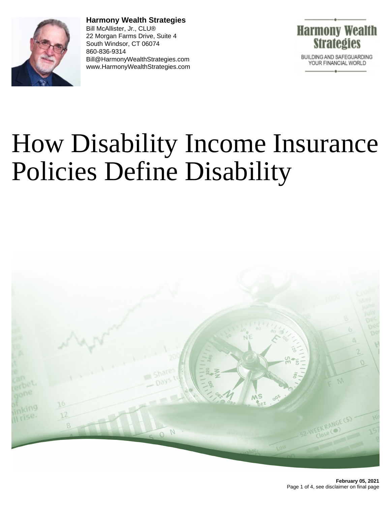

**Harmony Wealth Strategies** Bill McAllister, Jr., CLU® 22 Morgan Farms Drive, Suite 4 South Windsor, CT 06074 860-836-9314 Bill@HarmonyWealthStrategies.com www.HarmonyWealthStrategies.com



# How Disability Income Insurance Policies Define Disability

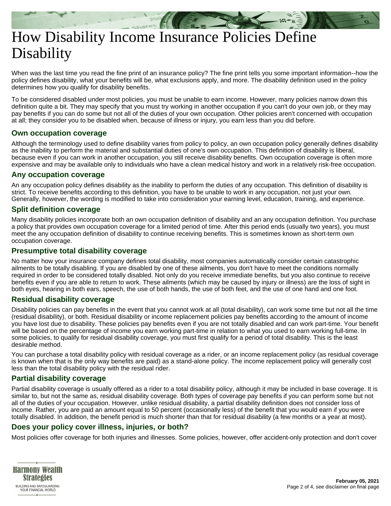## How Disability Income Insurance Policies Define **Disability**

When was the last time you read the fine print of an insurance policy? The fine print tells you some important information--how the policy defines disability, what your benefits will be, what exclusions apply, and more. The disability definition used in the policy determines how you qualify for disability benefits.

To be considered disabled under most policies, you must be unable to earn income. However, many policies narrow down this definition quite a bit. They may specify that you must try working in another occupation if you can't do your own job, or they may pay benefits if you can do some but not all of the duties of your own occupation. Other policies aren't concerned with occupation at all; they consider you to be disabled when, because of illness or injury, you earn less than you did before.

#### **Own occupation coverage**

Although the terminology used to define disability varies from policy to policy, an own occupation policy generally defines disability as the inability to perform the material and substantial duties of one's own occupation. This definition of disability is liberal, because even if you can work in another occupation, you still receive disability benefits. Own occupation coverage is often more expensive and may be available only to individuals who have a clean medical history and work in a relatively risk-free occupation.

#### **Any occupation coverage**

An any occupation policy defines disability as the inability to perform the duties of any occupation. This definition of disability is strict. To receive benefits according to this definition, you have to be unable to work in any occupation, not just your own. Generally, however, the wording is modified to take into consideration your earning level, education, training, and experience.

#### **Split definition coverage**

Many disability policies incorporate both an own occupation definition of disability and an any occupation definition. You purchase a policy that provides own occupation coverage for a limited period of time. After this period ends (usually two years), you must meet the any occupation definition of disability to continue receiving benefits. This is sometimes known as short-term own occupation coverage.

#### **Presumptive total disability coverage**

No matter how your insurance company defines total disability, most companies automatically consider certain catastrophic ailments to be totally disabling. If you are disabled by one of these ailments, you don't have to meet the conditions normally required in order to be considered totally disabled. Not only do you receive immediate benefits, but you also continue to receive benefits even if you are able to return to work. These ailments (which may be caused by injury or illness) are the loss of sight in both eyes, hearing in both ears, speech, the use of both hands, the use of both feet, and the use of one hand and one foot.

#### **Residual disability coverage**

Disability policies can pay benefits in the event that you cannot work at all (total disability), can work some time but not all the time (residual disability), or both. Residual disability or income replacement policies pay benefits according to the amount of income you have lost due to disability. These policies pay benefits even if you are not totally disabled and can work part-time. Your benefit will be based on the percentage of income you earn working part-time in relation to what you used to earn working full-time. In some policies, to qualify for residual disability coverage, you must first qualify for a period of total disability. This is the least desirable method.

You can purchase a total disability policy with residual coverage as a rider, or an income replacement policy (as residual coverage is known when that is the only way benefits are paid) as a stand-alone policy. The income replacement policy will generally cost less than the total disability policy with the residual rider.

### **Partial disability coverage**

Partial disability coverage is usually offered as a rider to a total disability policy, although it may be included in base coverage. It is similar to, but not the same as, residual disability coverage. Both types of coverage pay benefits if you can perform some but not all of the duties of your occupation. However, unlike residual disability, a partial disability definition does not consider loss of income. Rather, you are paid an amount equal to 50 percent (occasionally less) of the benefit that you would earn if you were totally disabled. In addition, the benefit period is much shorter than that for residual disability (a few months or a year at most).

#### **Does your policy cover illness, injuries, or both?**

Most policies offer coverage for both injuries and illnesses. Some policies, however, offer accident-only protection and don't cover

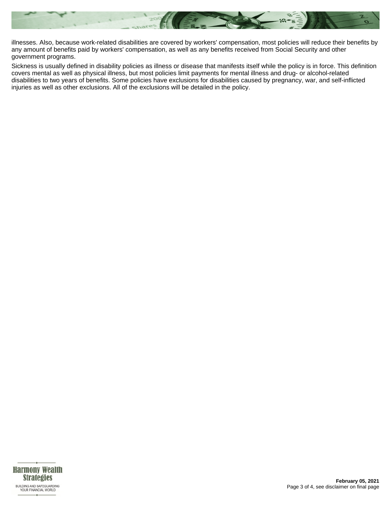

illnesses. Also, because work-related disabilities are covered by workers' compensation, most policies will reduce their benefits by any amount of benefits paid by workers' compensation, as well as any benefits received from Social Security and other government programs.

Sickness is usually defined in disability policies as illness or disease that manifests itself while the policy is in force. This definition covers mental as well as physical illness, but most policies limit payments for mental illness and drug- or alcohol-related disabilities to two years of benefits. Some policies have exclusions for disabilities caused by pregnancy, war, and self-inflicted injuries as well as other exclusions. All of the exclusions will be detailed in the policy.